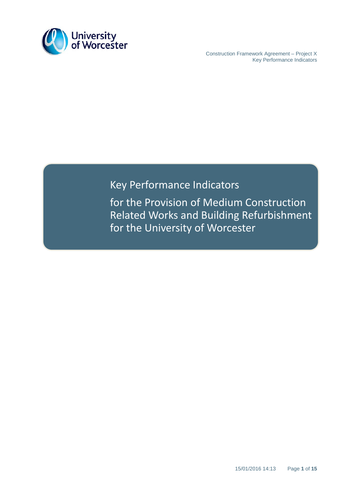

 Construction Framework Agreement – Project X Key Performance Indicators

# Key Performance Indicators

for the Provision of Medium Construction Related Works and Building Refurbishment for the University of Worcester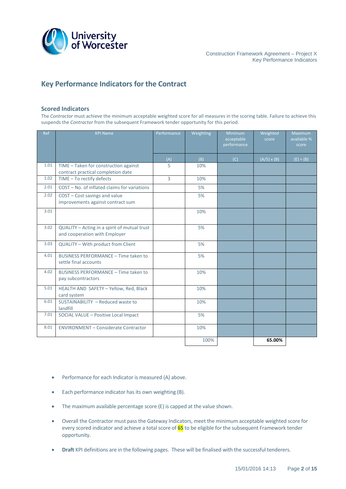

# **Key Performance Indicators for the Contract**

#### **Scored Indicators**

The *Contractor* must achieve the minimum acceptable weighted score for all measures in the scoring table. Failure to achieve this suspends the *Contractor* from the subsequent Framework tender opportunity for this period.

| Ref  | <b>KPI Name</b>                                                               | Performance | Weighting | <b>Minimum</b><br>acceptable<br>performance | Weighted<br>score  | <b>Maximum</b><br>available %<br>score |
|------|-------------------------------------------------------------------------------|-------------|-----------|---------------------------------------------|--------------------|----------------------------------------|
|      |                                                                               | (A)         | (B)       | (C)                                         | $(A/5) \times (B)$ | $(E) = (B)$                            |
| 1.01 | TIME - Taken for construction against<br>contract practical completion date   | 5           | 10%       |                                             |                    |                                        |
| 1.02 | TIME - To rectify defects                                                     | 3           | 10%       |                                             |                    |                                        |
| 2.01 | COST - No. of inflated claims for variations                                  |             | 5%        |                                             |                    |                                        |
| 2.02 | COST - Cost savings and value<br>improvements against contract sum            |             | 5%        |                                             |                    |                                        |
| 3.01 |                                                                               |             | 10%       |                                             |                    |                                        |
| 3.02 | QUALITY - Acting in a spirit of mutual trust<br>and cooperation with Employer |             | 5%        |                                             |                    |                                        |
| 3.03 | QUALITY - With product from Client                                            |             | 5%        |                                             |                    |                                        |
| 4.01 | BUSINESS PERFORMANCE - Time taken to<br>settle final accounts                 |             | 5%        |                                             |                    |                                        |
| 4.02 | BUSINESS PERFORMANCE - Time taken to<br>pay subcontractors                    |             | 10%       |                                             |                    |                                        |
| 5.01 | HEALTH AND SAFETY - Yellow, Red, Black<br>card system                         |             | 10%       |                                             |                    |                                        |
| 6.01 | SUSTAINABILITY - Reduced waste to<br>landfill                                 |             | 10%       |                                             |                    |                                        |
| 7.01 | SOCIAL VALUE - Positive Local Impact                                          |             | 5%        |                                             |                    |                                        |
| 8.01 | <b>ENVIRONMENT - Considerate Contractor</b>                                   |             | 10%       |                                             |                    |                                        |
|      |                                                                               |             | 100%      |                                             | 65.00%             |                                        |

- Performance for each Indicator is measured (A) above.
- Each performance indicator has its own weighting (B).
- The maximum available percentage score (E) is capped at the value shown.
- Overall the Contractor must pass the Gateway Indicators, meet the minimum acceptable weighted score for every scored indicator and achieve a total score of **65** to be eligible for the subsequent Framework tender opportunity.
- **Draft** KPI definitions are in the following pages. These will be finalised with the successful tenderers.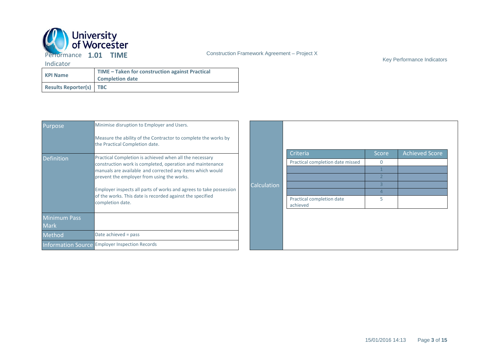

Key Performance Indicators

| <b>KPI Name</b>                | TIME – Taken for construction against Practical<br><b>Completion date</b> |  |  |
|--------------------------------|---------------------------------------------------------------------------|--|--|
| <b>Results Reporter(s)</b> TBC |                                                                           |  |  |

| Purpose                            | Minimise disruption to Employer and Users.<br>Measure the ability of the Contractor to complete the works by<br>the Practical Completion date.      |                    |                                       |                   |                       |
|------------------------------------|-----------------------------------------------------------------------------------------------------------------------------------------------------|--------------------|---------------------------------------|-------------------|-----------------------|
| <b>Definition</b>                  | Practical Completion is achieved when all the necessary                                                                                             |                    | Criteria                              | Score<br>$\Omega$ | <b>Achieved Score</b> |
|                                    | construction work is completed, operation and maintenance<br>manuals are available and corrected any items which would                              |                    | Practical completion date missed      |                   |                       |
|                                    | prevent the employer from using the works.                                                                                                          | <b>Calculation</b> |                                       |                   |                       |
|                                    | Employer inspects all parts of works and agrees to take possession<br>of the works. This date is recorded against the specified<br>completion date. |                    |                                       |                   |                       |
|                                    |                                                                                                                                                     |                    |                                       |                   |                       |
|                                    |                                                                                                                                                     |                    | Practical completion date<br>achieved | 5                 |                       |
| <b>Minimum Pass</b><br><b>Mark</b> |                                                                                                                                                     |                    |                                       |                   |                       |
| Method                             | Date achieved = pass                                                                                                                                |                    |                                       |                   |                       |
|                                    | <b>Information Source Employer Inspection Records</b>                                                                                               |                    |                                       |                   |                       |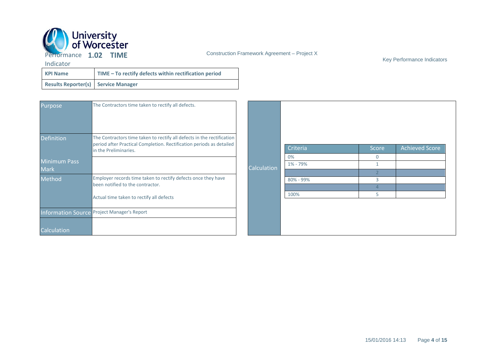

Key Performance Indicators

| <b>KPI Name</b>                            | TIME - To rectify defects within rectification period |
|--------------------------------------------|-------------------------------------------------------|
| <b>Results Reporter(s) Service Manager</b> |                                                       |

| <b>Purpose</b><br>Definition <sup>1</sup> | The Contractors time taken to rectify all defects.<br>The Contractors time taken to rectify all defects in the rectification |             |                |              |                       |
|-------------------------------------------|------------------------------------------------------------------------------------------------------------------------------|-------------|----------------|--------------|-----------------------|
|                                           | period after Practical Completion. Rectification periods as detailed<br>in the Preliminaries.                                |             | Criteria       | <b>Score</b> | <b>Achieved Score</b> |
| <b>Minimum Pass</b><br><b>Mark</b>        |                                                                                                                              | Calculation | 0%<br>1% - 79% | $\Omega$     |                       |
| Method                                    | Employer records time taken to rectify defects once they have<br>been notified to the contractor.                            |             | 80% - 99%      | 3            |                       |
|                                           | Actual time taken to rectify all defects                                                                                     |             | 100%           | 5            |                       |
|                                           | Information Source Project Manager's Report                                                                                  |             |                |              |                       |
| Calculation                               |                                                                                                                              |             |                |              |                       |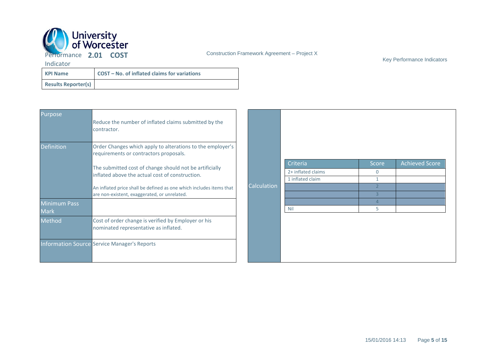

Key Performance Indicators

| <b>KPI Name</b>            | COST - No. of inflated claims for variations |
|----------------------------|----------------------------------------------|
| <b>Results Reporter(s)</b> |                                              |

| Purpose             | Reduce the number of inflated claims submitted by the<br>contractor.                                       |             |                    |          |                       |
|---------------------|------------------------------------------------------------------------------------------------------------|-------------|--------------------|----------|-----------------------|
| <b>Definition</b>   | Order Changes which apply to alterations to the employer's<br>requirements or contractors proposals.       |             |                    |          |                       |
|                     |                                                                                                            |             | Criteria           | Score    | <b>Achieved Score</b> |
|                     | The submitted cost of change should not be artificially<br>inflated above the actual cost of construction. |             | 2+ inflated claims | $\Omega$ |                       |
|                     |                                                                                                            |             | 1 inflated claim   |          |                       |
|                     | An inflated price shall be defined as one which includes items that                                        | Calculation |                    |          |                       |
|                     | are non-existent, exaggerated, or unrelated.                                                               |             |                    |          |                       |
| <b>Minimum Pass</b> |                                                                                                            |             |                    |          |                       |
| <b>Mark</b>         |                                                                                                            |             | <b>Nil</b>         | 5        |                       |
| Method              | Cost of order change is verified by Employer or his<br>nominated representative as inflated.               |             |                    |          |                       |
|                     | <b>Information Source Service Manager's Reports</b>                                                        |             |                    |          |                       |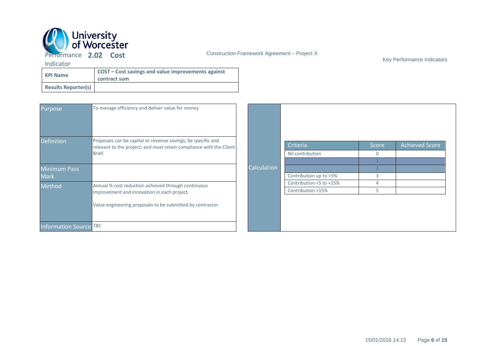

Key Performance Indicators

| <b>KPI Name</b>            | COST – Cost savings and value improvements against<br>contract sum |
|----------------------------|--------------------------------------------------------------------|
| <b>Results Reporter(s)</b> |                                                                    |

| <b>Purpose</b>                | To manage efficiency and deliver value for money                                                                                    |             |                         |          |                       |
|-------------------------------|-------------------------------------------------------------------------------------------------------------------------------------|-------------|-------------------------|----------|-----------------------|
| <b>Definition</b>             | Proposals can be capital or revenue savings; be specific and<br>relevant to the project; and must retain compliance with the Client |             | Criteria                | Score    | <b>Achieved Score</b> |
|                               | Brief.                                                                                                                              |             | Nil contribution        | $\Omega$ |                       |
|                               |                                                                                                                                     |             |                         |          |                       |
| <b>Minimum Pass</b>           |                                                                                                                                     | Calculation |                         |          |                       |
| <b>Mark</b>                   |                                                                                                                                     |             | Contribution up to +5%  | 3        |                       |
| Method                        | Annual % cost reduction achieved through continuous                                                                                 |             | Contribution +5 to +15% | 4        |                       |
|                               | improvement and innovation in each project.                                                                                         |             | Contribution >15%       | 5.       |                       |
|                               | Value engineering proposals to be submitted by contractor.                                                                          |             |                         |          |                       |
| <b>Information Source TBC</b> |                                                                                                                                     |             |                         |          |                       |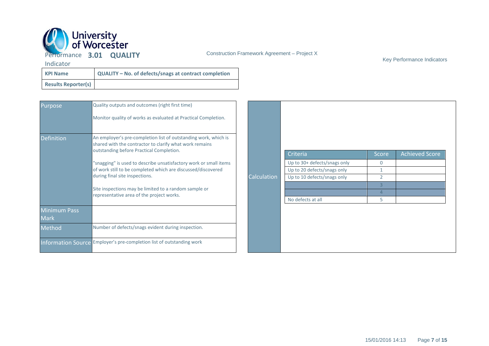

Key Performance Indicators

| <b>KPI Name</b>            | QUALITY - No. of defects/snags at contract completion |
|----------------------------|-------------------------------------------------------|
| <b>Results Reporter(s)</b> |                                                       |

| Purpose                            | Quality outputs and outcomes (right first time)                                                                                                                        |             |                              |                |                       |
|------------------------------------|------------------------------------------------------------------------------------------------------------------------------------------------------------------------|-------------|------------------------------|----------------|-----------------------|
|                                    | Monitor quality of works as evaluated at Practical Completion.                                                                                                         |             |                              |                |                       |
| <b>Definition</b>                  | An employer's pre-completion list of outstanding work, which is<br>shared with the contractor to clarify what work remains<br>outstanding before Practical Completion. |             | Criteria                     | <b>Score</b>   | <b>Achieved Score</b> |
|                                    | "snagging" is used to describe unsatisfactory work or small items                                                                                                      |             | Up to 30+ defects/snags only | $\mathbf{0}$   |                       |
|                                    | of work still to be completed which are discussed/discovered                                                                                                           |             | Up to 20 defects/snags only  |                |                       |
|                                    | during final site inspections.                                                                                                                                         | Calculation | Up to 10 defects/snags only  | $\overline{2}$ |                       |
|                                    |                                                                                                                                                                        |             |                              |                |                       |
|                                    | Site inspections may be limited to a random sample or<br>representative area of the project works.                                                                     |             |                              |                |                       |
|                                    |                                                                                                                                                                        |             | No defects at all            | 5              |                       |
| <b>Minimum Pass</b><br><b>Mark</b> |                                                                                                                                                                        |             |                              |                |                       |
| Method                             | Number of defects/snags evident during inspection.                                                                                                                     |             |                              |                |                       |
|                                    | Information Source Employer's pre-completion list of outstanding work                                                                                                  |             |                              |                |                       |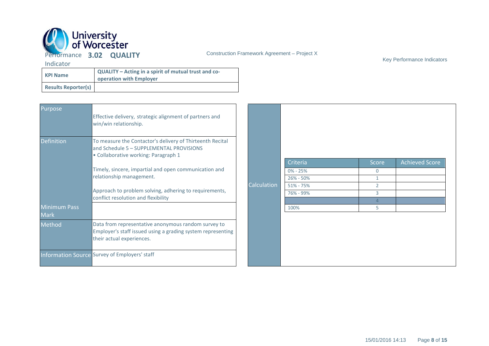

Key Performance Indicators

| <b>KPI Name</b>            | QUALITY - Acting in a spirit of mutual trust and co-<br>operation with Employer |
|----------------------------|---------------------------------------------------------------------------------|
| <b>Results Reporter(s)</b> |                                                                                 |

| Purpose                            | Effective delivery, strategic alignment of partners and<br>win/win relationship.                                                                |             |               |                |                       |
|------------------------------------|-------------------------------------------------------------------------------------------------------------------------------------------------|-------------|---------------|----------------|-----------------------|
| <b>Definition</b>                  | To measure the Contactor's delivery of Thirteenth Recital<br>and Schedule 5 - SUPPLEMENTAL PROVISIONS<br>· Collaborative working: Paragraph 1   |             |               |                |                       |
|                                    |                                                                                                                                                 |             | Criteria      | <b>Score</b>   | <b>Achieved Score</b> |
|                                    | Timely, sincere, impartial and open communication and<br>relationship management.                                                               |             | $0\% - 25\%$  | $\mathbf{0}$   |                       |
|                                    |                                                                                                                                                 |             | 26% - 50%     |                |                       |
|                                    |                                                                                                                                                 | Calculation | $51\% - 75\%$ | $\overline{2}$ |                       |
|                                    | Approach to problem solving, adhering to requirements,<br>conflict resolution and flexibility                                                   |             | 76% - 99%     | $\overline{3}$ |                       |
|                                    |                                                                                                                                                 |             |               |                |                       |
| <b>Minimum Pass</b><br><b>Mark</b> |                                                                                                                                                 |             | 100%          | 5              |                       |
| Method                             | Data from representative anonymous random survey to<br>Employer's staff issued using a grading system representing<br>their actual experiences. |             |               |                |                       |
|                                    | Information Source Survey of Employers' staff                                                                                                   |             |               |                |                       |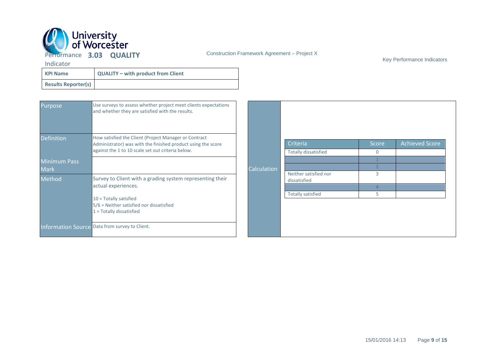

Key Performance Indicators

| <b>KPI Name</b>            | <b>QUALITY - with product from Client</b> |
|----------------------------|-------------------------------------------|
| <b>Results Reporter(s)</b> |                                           |

| <b>Purpose</b>      | Use surveys to assess whether project meet clients expectations<br>and whether they are satisfied with the results.   |             |                                       |          |                       |
|---------------------|-----------------------------------------------------------------------------------------------------------------------|-------------|---------------------------------------|----------|-----------------------|
| <b>Definition</b>   | How satisfied the Client (Project Manager or Contract<br>Administrator) was with the finished product using the score |             | Criteria                              | Score    | <b>Achieved Score</b> |
|                     | against the 1 to 10 scale set out criteria below.                                                                     |             | <b>Totally dissatisfied</b>           | $\Omega$ |                       |
| <b>Minimum Pass</b> |                                                                                                                       |             |                                       |          |                       |
| <b>Mark</b>         |                                                                                                                       | Calculation |                                       |          |                       |
| Method              | Survey to Client with a grading system representing their<br>actual experiences.                                      |             | Neither satisfied nor<br>dissatisfied | 3        |                       |
|                     |                                                                                                                       |             |                                       |          |                       |
|                     |                                                                                                                       |             | <b>Totally satisfied</b>              | 5        |                       |
|                     | $10 = \text{Totally satisfied}$<br>5/6 = Neither satisfied nor dissatisfied<br>1 = Totally dissatisfied               |             |                                       |          |                       |
|                     | Information Source Data from survey to Client.                                                                        |             |                                       |          |                       |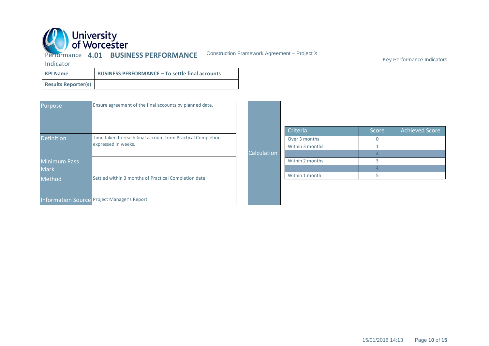

Performance **4.01 BUSINESS PERFORMANCE**

Construction Framework Agreement – Project X

Key Performance Indicators

| <b>KPI Name</b>            | <b>BUSINESS PERFORMANCE - To settle final accounts</b> |
|----------------------------|--------------------------------------------------------|
| <b>Results Reporter(s)</b> |                                                        |

| Purpose           | Ensure agreement of the final accounts by planned date.                            |             |                 |       |                       |
|-------------------|------------------------------------------------------------------------------------|-------------|-----------------|-------|-----------------------|
|                   |                                                                                    |             | Criteria        | Score | <b>Achieved Score</b> |
| <b>Definition</b> | Time taken to reach final account from Practical Completion<br>expressed in weeks. |             | Over 3 months   |       |                       |
|                   |                                                                                    |             | Within 3 months |       |                       |
|                   |                                                                                    | Calculation |                 |       |                       |
| Minimum Pass      |                                                                                    |             | Within 2 months |       |                       |
| <b>Mark</b>       |                                                                                    |             |                 |       |                       |
| Method            | Settled within 3 months of Practical Completion date                               |             | Within 1 month  |       |                       |
|                   | Information Source Project Manager's Report                                        |             |                 |       |                       |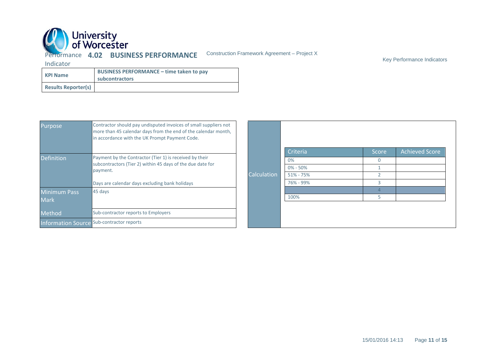

Key Performance Indicators

| <b>KPI Name</b>            | <b>BUSINESS PERFORMANCE - time taken to pay</b><br>subcontractors |
|----------------------------|-------------------------------------------------------------------|
| <b>Results Reporter(s)</b> |                                                                   |

| Purpose           | Contractor should pay undisputed invoices of small suppliers not<br>more than 45 calendar days from the end of the calendar month,<br>in accordance with the UK Prompt Payment Code. |             |               |       |                       |
|-------------------|--------------------------------------------------------------------------------------------------------------------------------------------------------------------------------------|-------------|---------------|-------|-----------------------|
|                   |                                                                                                                                                                                      |             | Criteria      | Score | <b>Achieved Score</b> |
| <b>Definition</b> | Payment by the Contractor (Tier 1) is received by their<br>subcontractors (Tier 2) within 45 days of the due date for<br>payment.                                                    | Calculation | 0%            |       |                       |
|                   |                                                                                                                                                                                      |             | $0\% - 50\%$  |       |                       |
|                   |                                                                                                                                                                                      |             | $51\% - 75\%$ |       |                       |
|                   | Days are calendar days excluding bank holidays                                                                                                                                       |             | 76% - 99%     |       |                       |
| Minimum Pass      | 45 days                                                                                                                                                                              |             |               |       |                       |
| Mark              |                                                                                                                                                                                      |             | 100%          |       |                       |
| Method            | Sub-contractor reports to Employers                                                                                                                                                  |             |               |       |                       |
|                   | <b>Information Source Sub-contractor reports</b>                                                                                                                                     |             |               |       |                       |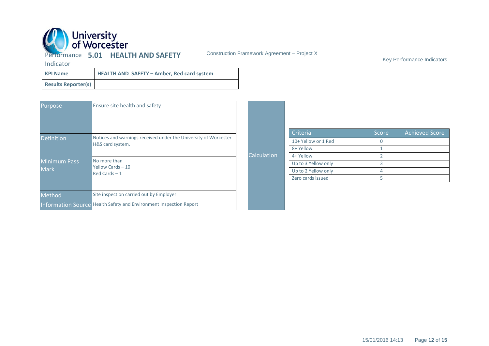

Key Performance Indicators

| <b>KPI Name</b>            | <b>HEALTH AND SAFETY - Amber, Red card system</b> |
|----------------------------|---------------------------------------------------|
| <b>Results Reporter(s)</b> |                                                   |

| Purpose             | Ensure site health and safety                                      |             |                     |               |                       |
|---------------------|--------------------------------------------------------------------|-------------|---------------------|---------------|-----------------------|
|                     | Notices and warnings received under the University of Worcester    |             | <b>Criteria</b>     | Score         | <b>Achieved Score</b> |
| <b>Definition</b>   | H&S card system.                                                   |             | 10+ Yellow or 1 Red | $\mathbf{0}$  |                       |
|                     |                                                                    |             | 8+ Yellow           |               |                       |
|                     |                                                                    | Calculation | 4+ Yellow           | $\mathcal{P}$ |                       |
| <b>Minimum Pass</b> | No more than<br>Yellow Cards - 10                                  |             | Up to 3 Yellow only | 3             |                       |
| <b>Mark</b>         | $Red$ Cards $-1$                                                   |             | Up to 2 Yellow only | 4             |                       |
|                     |                                                                    |             | Zero cards issued   | 5             |                       |
|                     |                                                                    |             |                     |               |                       |
| Method              | Site inspection carried out by Employer                            |             |                     |               |                       |
|                     | Information Source Health Safety and Environment Inspection Report |             |                     |               |                       |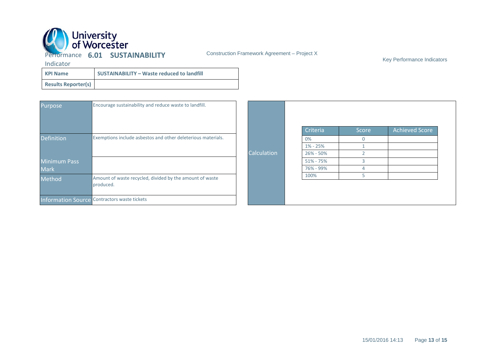

Key Performance Indicators

| <b>KPI Name</b>            | <b>SUSTAINABILITY - Waste reduced to landfill</b> |
|----------------------------|---------------------------------------------------|
| <b>Results Reporter(s)</b> |                                                   |

| Purpose             | Encourage sustainability and reduce waste to landfill.                |                    |               |              |                       |
|---------------------|-----------------------------------------------------------------------|--------------------|---------------|--------------|-----------------------|
|                     |                                                                       |                    | Criteria      | Score        | <b>Achieved Score</b> |
| <b>Definition</b>   | Exemptions include asbestos and other deleterious materials.          |                    | 0%            | $\mathbf{0}$ |                       |
|                     |                                                                       |                    | $1\% - 25\%$  |              |                       |
|                     |                                                                       | <b>Calculation</b> | 26% - 50%     |              |                       |
| <b>Minimum Pass</b> |                                                                       |                    | $51\% - 75\%$ |              |                       |
| <b>Mark</b>         |                                                                       |                    | 76% - 99%     |              |                       |
| Method              | Amount of waste recycled, divided by the amount of waste<br>produced. |                    | 100%          |              |                       |
|                     | Information Source Contractors waste tickets                          |                    |               |              |                       |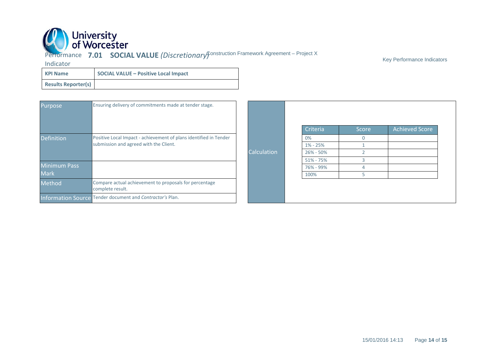

**AL VALUF** *(Discretionary***)** Construction Framework Agreement – Project X Performance **7.01 SOCIAL VALUE** *(Discretionary)*

Key Performance Indicators

| <b>KPI Name</b>            | <b>SOCIAL VALUE - Positive Local Impact</b> |
|----------------------------|---------------------------------------------|
| <b>Results Reporter(s)</b> |                                             |

| <b>Purpose</b>      | Ensuring delivery of commitments made at tender stage.                                                      |             |               |              |                       |
|---------------------|-------------------------------------------------------------------------------------------------------------|-------------|---------------|--------------|-----------------------|
|                     |                                                                                                             |             | Criteria      | Score        | <b>Achieved Score</b> |
| <b>Definition</b>   | Positive Local Impact - achievement of plans identified in Tender<br>submission and agreed with the Client. | Calculation | 0%            | $\mathbf{0}$ |                       |
|                     |                                                                                                             |             | $1\% - 25\%$  |              |                       |
|                     |                                                                                                             |             | 26% - 50%     |              |                       |
|                     |                                                                                                             |             | $51\% - 75\%$ |              |                       |
| <b>Minimum Pass</b> |                                                                                                             |             | 76% - 99%     |              |                       |
| <b>Mark</b>         |                                                                                                             |             | 100%          |              |                       |
| Method              | Compare actual achievement to proposals for percentage<br>complete result.                                  |             |               |              |                       |
|                     | Information Source Tender document and Contractor's Plan.                                                   |             |               |              |                       |